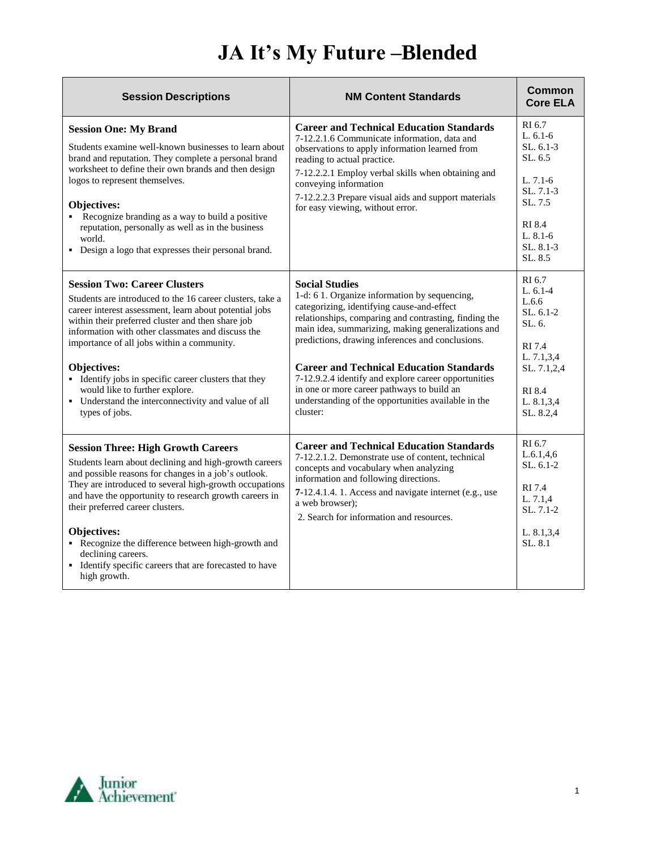## **JA It's My Future –Blended**

| <b>Session Descriptions</b>                                                                                                                                                                                                                                                                                                                                                                                                                                                                           | <b>NM Content Standards</b>                                                                                                                                                                                                                                                                                                                                                                                                                                                                                        | Common<br><b>Core ELA</b>                                                                                                                  |
|-------------------------------------------------------------------------------------------------------------------------------------------------------------------------------------------------------------------------------------------------------------------------------------------------------------------------------------------------------------------------------------------------------------------------------------------------------------------------------------------------------|--------------------------------------------------------------------------------------------------------------------------------------------------------------------------------------------------------------------------------------------------------------------------------------------------------------------------------------------------------------------------------------------------------------------------------------------------------------------------------------------------------------------|--------------------------------------------------------------------------------------------------------------------------------------------|
| <b>Session One: My Brand</b><br>Students examine well-known businesses to learn about<br>brand and reputation. They complete a personal brand<br>worksheet to define their own brands and then design<br>logos to represent themselves.<br><b>Objectives:</b><br>• Recognize branding as a way to build a positive<br>reputation, personally as well as in the business<br>world.<br>• Design a logo that expresses their personal brand.                                                             | <b>Career and Technical Education Standards</b><br>7-12.2.1.6 Communicate information, data and<br>observations to apply information learned from<br>reading to actual practice.<br>7-12.2.2.1 Employ verbal skills when obtaining and<br>conveying information<br>7-12.2.2.3 Prepare visual aids and support materials<br>for easy viewing, without error.                                                                                                                                                        | RI 6.7<br>$L.6.1-6$<br>$SL.6.1-3$<br>SL.6.5<br>L. 7.1-6<br>SL. 7.1-3<br>SL.7.5<br>RI 8.4<br>$L. 8.1-6$<br>SL, 8.1-3<br>SL, 8.5             |
| <b>Session Two: Career Clusters</b><br>Students are introduced to the 16 career clusters, take a<br>career interest assessment, learn about potential jobs<br>within their preferred cluster and then share job<br>information with other classmates and discuss the<br>importance of all jobs within a community.<br>Objectives:<br>• Identify jobs in specific career clusters that they<br>would like to further explore.<br>• Understand the interconnectivity and value of all<br>types of jobs. | <b>Social Studies</b><br>1-d: 61. Organize information by sequencing,<br>categorizing, identifying cause-and-effect<br>relationships, comparing and contrasting, finding the<br>main idea, summarizing, making generalizations and<br>predictions, drawing inferences and conclusions.<br><b>Career and Technical Education Standards</b><br>7-12.9.2.4 identify and explore career opportunities<br>in one or more career pathways to build an<br>understanding of the opportunities available in the<br>cluster: | RI 6.7<br>$L.6.1-4$<br>L.6.6<br>$SL. 6.1-2$<br>$SL.6$ .<br>RI 7.4<br>L. 7.1,3,4<br>SL. 7.1,2,4<br><b>RI</b> 8.4<br>L. 8.1,3,4<br>SL. 8.2,4 |
| <b>Session Three: High Growth Careers</b><br>Students learn about declining and high-growth careers<br>and possible reasons for changes in a job's outlook.<br>They are introduced to several high-growth occupations<br>and have the opportunity to research growth careers in<br>their preferred career clusters.<br>Objectives:<br>• Recognize the difference between high-growth and<br>declining careers.<br>• Identify specific careers that are forecasted to have<br>high growth.             | <b>Career and Technical Education Standards</b><br>7-12.2.1.2. Demonstrate use of content, technical<br>concepts and vocabulary when analyzing<br>information and following directions.<br>7-12.4.1.4.1. Access and navigate internet (e.g., use<br>a web browser);<br>2. Search for information and resources.                                                                                                                                                                                                    | RI 6.7<br>L.6.1.4.6<br>$SL.6.1-2$<br>RI 7.4<br>L. 7.1,4<br>SL. 7.1-2<br>L. 8.1,3,4<br>SL, 8.1                                              |